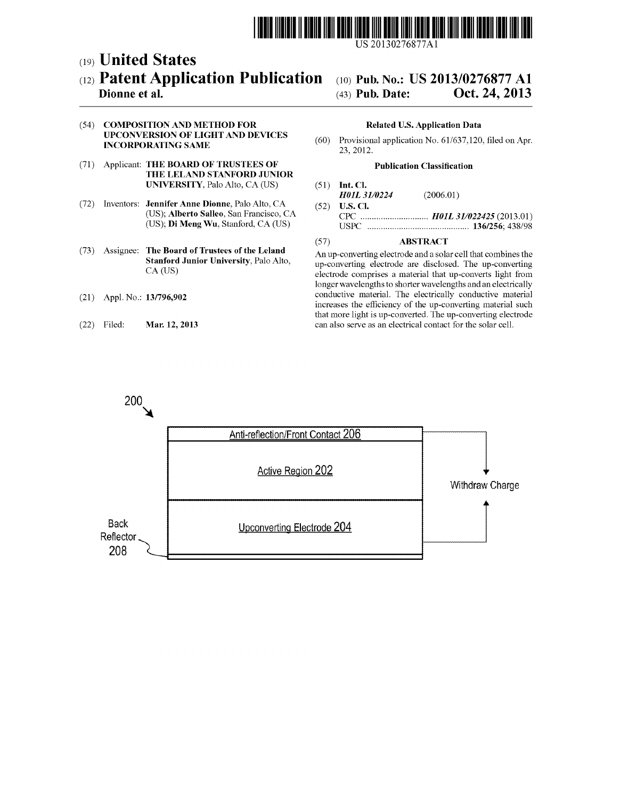

# (19) United States  $(12)$  Patent Application Publication  $(10)$  Pub. No.: US 2013/0276877 A1

# Dionne et al.

# (43) Pub. Date: Oct. 24, 2013

#### (54) COMPOSITION AND METHOD FOR UPCONVERSION OF LIGHT AND DEVICES INCORPORATING SAME

- (71) Applicant: THE BOARD OF TRUSTEES OF THE LELAND STANFORD JUNIOR UNIVERSITY, Palo Alto, CA (US)
- (72) Inventors: Jennifer Anne Dionne, Palo Alto, CA (US); Alberto Salleo, San Francisco, CA (US); Di Meng Wu, Stanford, CA (US)
- (73) Assignee: The Board of Trustees of the Leland CA (US) Stanford Junior University, Palo Alto,
- (21) Appl. No.: 13/796,902
- (22) Mar. 12, 2013

#### Related US. Application Data

 $(60)$  Provisional application No.  $61/637,120$ , filed on Apr. 23, 2012.

# **Publication Classification**

- (51) Int. Cl. H01L 31/0224 (2006.01) (52) US. Cl.
- CPC H01L 31/022425 (2013.01) USPC ........................................... .. 136/256; 438/98

# (57) ABSTRACT

An up-converting electrode and a solar cell that combines the up-converting electrode are disclosed. The up-converting electrode comprises a material that up-converts light from longer Wavelengths to shorter Wavelengths and an electrically conductive material. The electrically conductive material increases the efficiency of the up-converting material such that more light is up-converted. The up-converting electrode can also serve as an electrical contact for the solar cell.

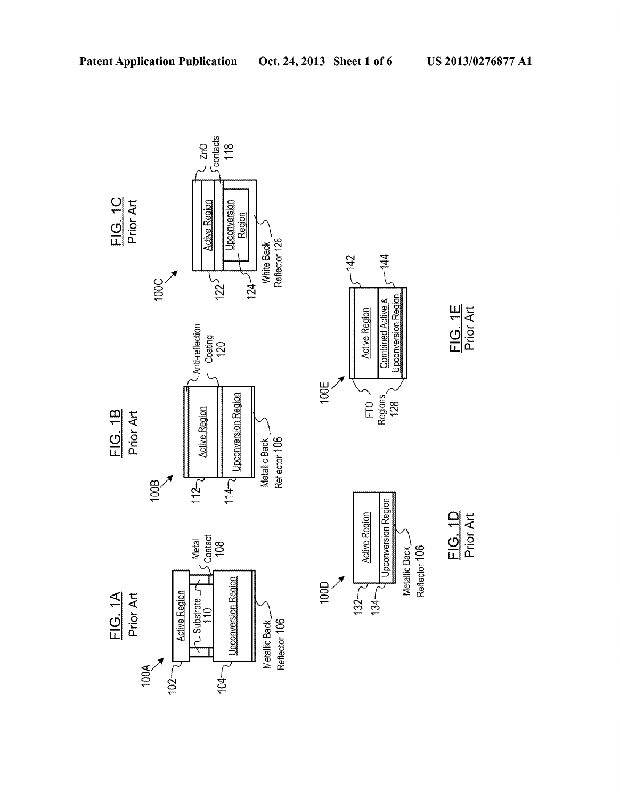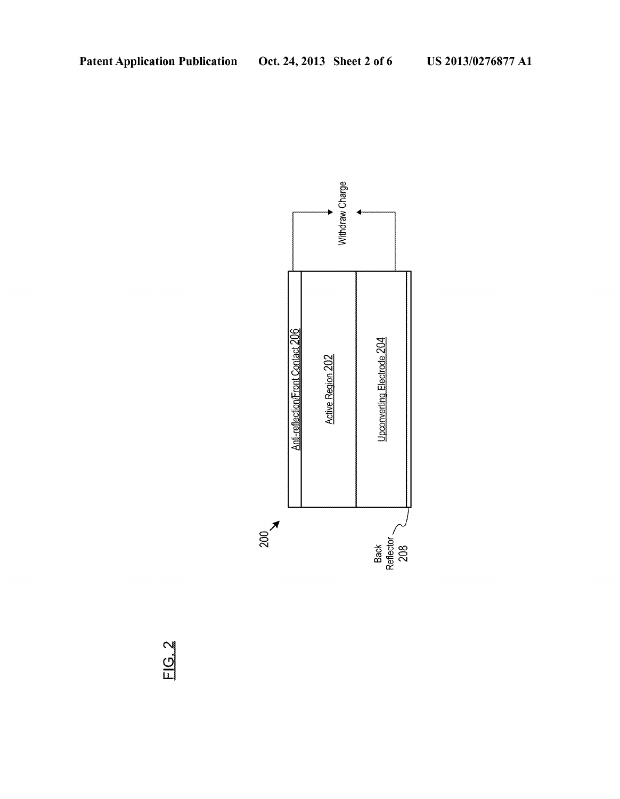

 $FIG. 2$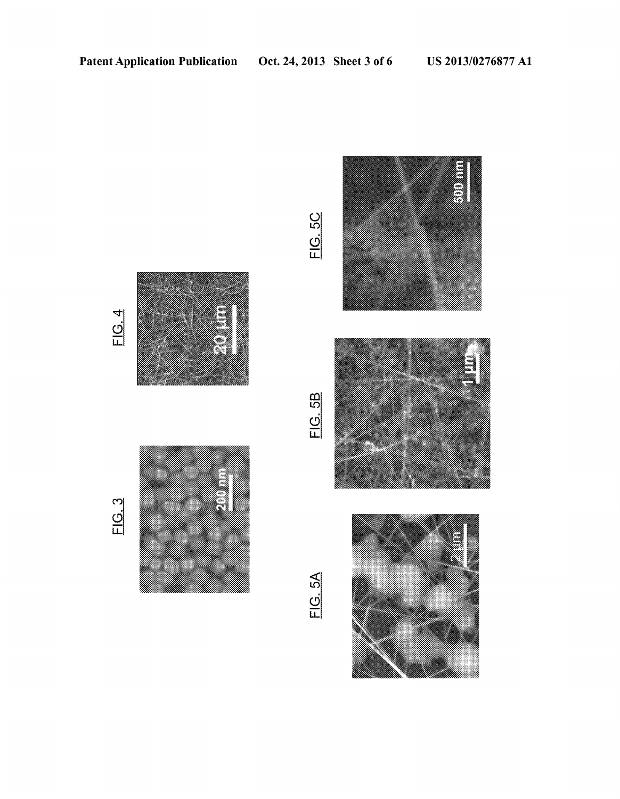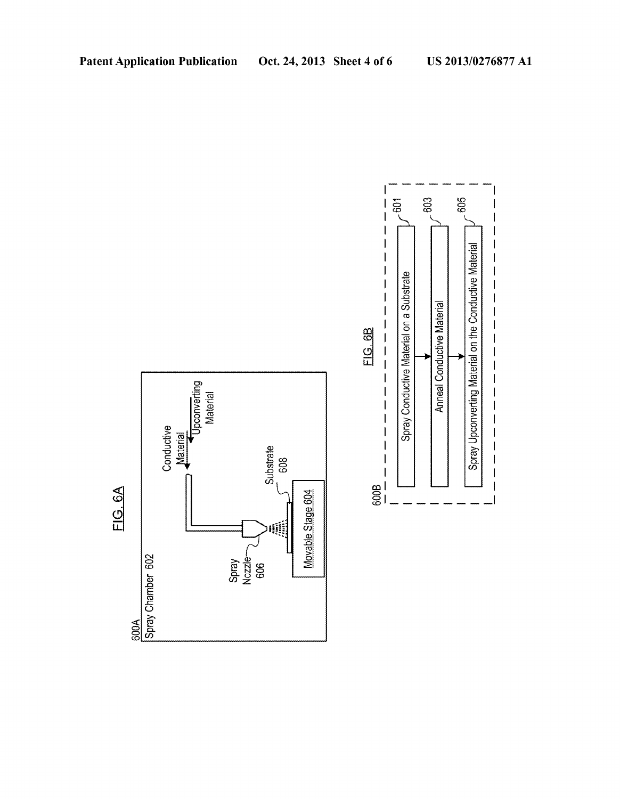

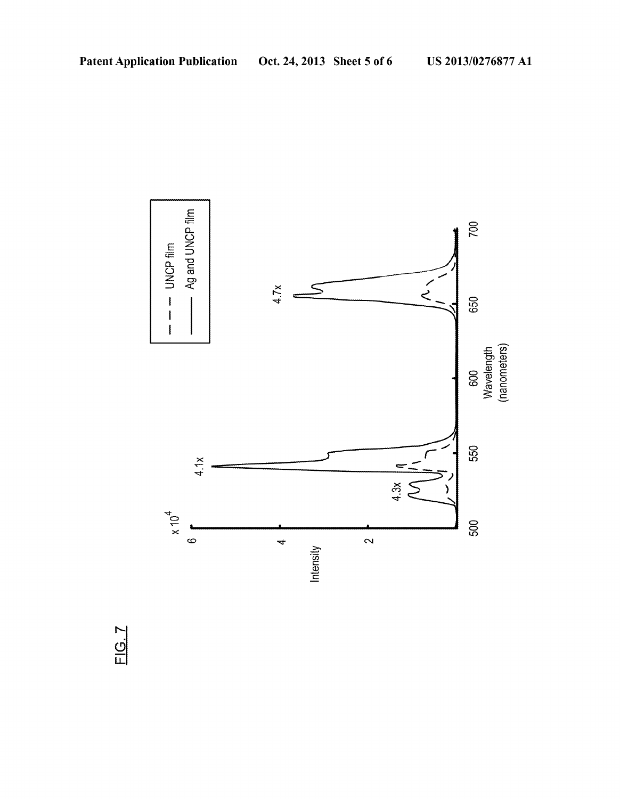

 $FIG. 7$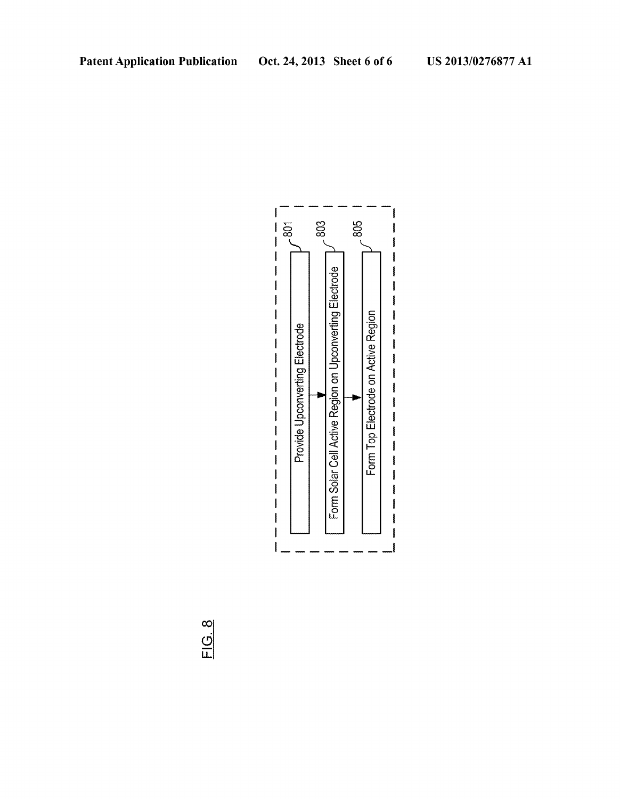

 $FIG. 8$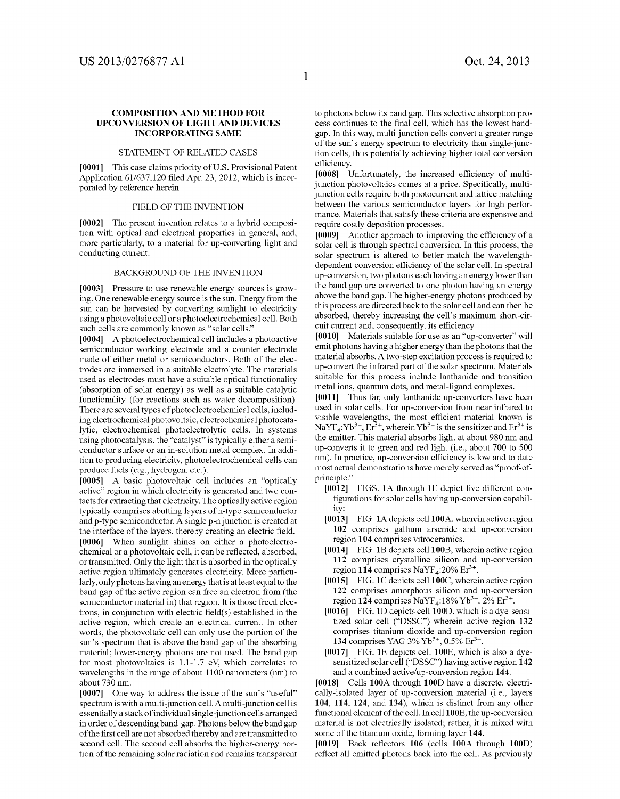#### COMPOSITION AND METHOD FOR UPCONVERSION OF LIGHT AND DEVICES INCORPORATING SAME

#### STATEMENT OF RELATED CASES

[0001] This case claims priority of US. Provisional Patent Application 61/637,120 filed Apr. 23, 2012, which is incorporated by reference herein.

#### FIELD OF THE INVENTION

[0002] The present invention relates to a hybrid composition with optical and electrical properties in general, and, more particularly, to a material for up-converting light and conducting current.

### BACKGROUND OF THE INVENTION

[0003] Pressure to use renewable energy sources is growing. One reneWable energy source is the sun. Energy from the sun can be harvested by converting sunlight to electricity using a photovoltaic cell or a photoelectrochemical cell. Both such cells are commonly known as "solar cells."

[0004] A photoelectrochemical cell includes a photoactive semiconductor Working electrode and a counter electrode made of either metal or semiconductors. Both of the elec trodes are immersed in a suitable electrolyte. The materials used as electrodes must have a suitable optical functionality (absorption of solar energy) as Well as a suitable catalytic functionality (for reactions such as water decomposition). There are several types of photoelectrochemical cells, includ ing electrochemical photovoltaic, electrochemical photocata lytic, electrochemical photoelectrolytic cells. In systems using photocatalysis, the "catalyst" is typically either a semi conductor surface or an in-solution metal complex. In addi tion to producing electricity, photoelectrochemical cells can produce fuels (e.g., hydrogen, etc.).

[0005] A basic photovoltaic cell includes an "optically active" region in which electricity is generated and two contacts for extracting that electricity. The optically active region typically comprises abutting layers of n-type semiconductor and p-type semiconductor. A single p-n junction is created at the interface of the layers, thereby creating an electric field. [0006] When sunlight shines on either a photoelectrochemical or a photovoltaic cell, it can be reflected, absorbed, or transmitted. Only the light that is absorbed in the optically active region ultimately generates electricity. More particu larly, only photons having an energy that is at least equal to the band gap of the active region can free an electron from (the semiconductor material in) that region. It is those freed elec trons, in conjunction with electric  $field(s)$  established in the active region, Which create an electrical current. In other Words, the photovoltaic cell can only use the portion of the sun's spectrum that is above the band gap of the absorbing material; lower-energy photons are not used. The band gap for most photovoltaics is 1.1-1.7 eV, Which correlates to Wavelengths in the range of about 1100 nanometers (nm) to about 730 nm.

[0007] One Way to address the issue of the sun's "useful" spectrum is With a multi-junction cell. A multi-junction cell is essentially a stack of individual single-junction cells arranged in order of descending band-gap. Photons below the band gap of the first cell are not absorbed thereby and are transmitted to second cell. The second cell absorbs the higher-energy por tion of the remaining solar radiation and remains transparent to photons beloW its band gap. This selective absorption pro cess continues to the final cell, which has the lowest bandgap. In this Way, multi-junction cells convert a greater range of the sun's energy spectrum to electricity than single-junc tion cells, thus potentially achieving higher total conversion efficiency.

[0008] Unfortunately, the increased efficiency of multijunction photovoltaics comes at a price. Specifically, multijunction cells require both photocurrent and lattice matching between the various semiconductor layers for high performance. Materials that satisfy these criteria are expensive and require costly deposition processes.

[0009] Another approach to improving the efficiency of a solar cell is through spectral conversion. In this process, the solar spectrum is altered to better match the wavelengthdependent conversion efficiency of the solar cell. In spectral up-conversion, tWo photons each having an energy loWer than the band gap are converted to one photon having an energy above the band gap. The higher-energy photons produced by this process are directed back to the solar cell and can then be absorbed, thereby increasing the cell's maximum short-cir cuit current and, consequently, its efficiency.

[0010] Materials suitable for use as an "up-converter" will emit photons having a higher energy than the photons that the material absorbs. A tWo-step excitation process is required to up-convert the infrared part of the solar spectrum. Materials suitable for this process include lanthanide and transition metal ions, quantum dots, and metal-ligand complexes.

[0011] Thus far, only lanthanide up-converters have been used in solar cells. For up-conversion from near infrared to visible wavelengths, the most efficient material known is  $\text{NaYF}_4$ :  $\text{Yb}^{3+}$ ,  $\text{Er}^{3+}$ , wherein  $\text{Yb}^{3+}$  is the sensitizer and  $\text{Er}^{3+}$  is the emitter. This material absorbs light at about 980 nm and up-converts it to green and red light (i.e., about 700 to 500 nm). In practice, up-conversion efficiency is low and to date most actual demonstrations have merely served as "proof-of principle."

- $[0012]$  FIGS. 1A through 1E depict five different configurations for solar cells having up-conversion capability:
- [0013] FIG. 1A depicts cell 100A, wherein active region 102 comprises gallium arsenide and up-conversion region 104 comprises vitroceramics.
- [0014] FIG. 1B depicts cell 100B, wherein active region 112 comprises crystalline silicon and up-conversion region 114 comprises NaYF<sub>4</sub>:20%  $Er<sup>3+</sup>$
- [0015] FIG. 1C depicts cell 100C, wherein active region 122 comprises amorphous silicon and up-conversion region 124 comprises  $\text{NaYF}_4$ :18%  $\text{Yb}^{3+}$ , 2%  $\text{Er}^{3+}$ .
- [0016] FIG. 1D depicts cell 100D, which is a dye-sensitized solar cell ("DSSC") wherein active region 132 comprises titanium dioxide and up-conversion region 134 comprises YAG 3% Yb<sup>3+</sup>, 0.5% Er<sup>3+</sup>.
- [0017] FIG. 1E depicts cell 100E, which is also a dyesensitized solar cell ("DSSC") having active region 142 and a combined active/up-conversion region 144.

[0018] Cells 100A through 100D have a discrete, electrically-isolated layer of up-conversion material (i.e., layers 104, 114, 124, and 134), Which is distinct from any other functional element of the cell. In cell 100E, the up-conversion material is not electrically isolated; rather, it is mixed With some of the titanium oxide, forming layer 144.

 $[0019]$  Back reflectors 106 (cells 100A through 100D) reflect all emitted photons back into the cell. As previously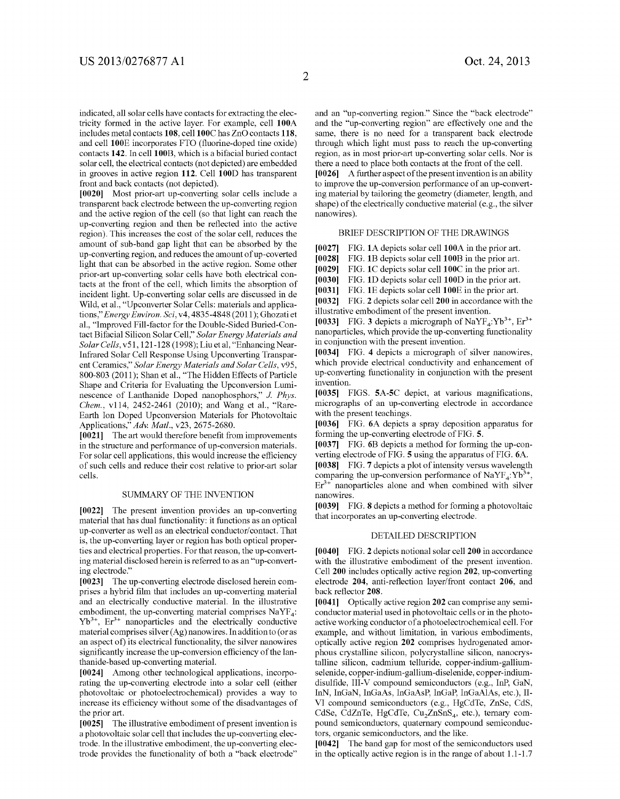indicated, all solar cells have contacts for extracting the electricity formed in the active layer. For example, cell 100A includes metal contacts 108, cell 100C has ZnO contacts 118, and cell 100E incorporates FTO (fluorine-doped tine oxide) contacts 142. In cell 100B, which is a bifacial buried contact solar cell, the electrical contacts (not depicted) are embedded in grooves in active region 112. Cell 100D has transparent front and back contacts (not depicted).

[0020] Most prior-art up-converting solar cells include a transparent back electrode between the up-converting region and the active region of the cell (so that light can reach the up-converting region and then be reflected into the active region). This increases the cost of the solar cell, reduces the amount of sub-band gap light that can be absorbed by the up-converting region, and reduces the amount of up-coverted light that can be absorbed in the active region. Some other prior-art up-converting solar cells have both electrical contacts at the front of the cell, which limits the absorption of incident light. Up-converting solar cells are discussed in de Wild, et al., "Upconverter Solar Cells: materials and applications," Energy Environ. Sci, v4, 4835-4848 (2011); Ghozati et al., "Improved Fill-factor for the Double-Sided Buried-Contact Bifacial Silicon Solar Cell," Solar Energy Materials and Solar Cells, v51, 121-128 (1998); Liu et al, "Enhancing Near-Infrared Solar Cell Response Using Upconverting Transparent Ceramics," Solar Energy Materials and Solar Cells, v95, 800-803 (2011); Shan et al., "The Hidden Effects of Particle Shape and Criteria for Evaluating the Upconversion Luminescence of Lanthanide Doped nanophosphors," J. Phys. Chem., v114, 2452-2461 (2010); and Wang et al., "Rare-Earth Ion Doped Upconversion Materials for Photovoltaic Applications," Adv. Matl., v23, 2675-2680.

[0021] The art would therefore benefit from improvements in the structure and performance of up-conversion materials. For solar cell applications, this would increase the efficiency of such cells and reduce their cost relative to prior-art solar cells.

#### SUMMARY OF THE INVENTION

[0022] The present invention provides an up-converting material that has dual functionality: it functions as an optical up-converter as well as an electrical conductor/contact. That is, the up-converting layer or region has both optical properties and electrical properties. For that reason, the up-converting material disclosed herein is referred to as an "up-converting electrode.'

[0023] The up-converting electrode disclosed herein comprises a hybrid film that includes an up-converting material and an electrically conductive material. In the illustrative embodiment, the up-converting material comprises NaYF<sub>4</sub>:  $Yb^{3+}$ ,  $Er^{3+}$  nanoparticles and the electrically conductive material comprises silver (Ag) nanowires. In addition to (or as an aspect of) its electrical functionality, the silver nanowires significantly increase the up-conversion efficiency of the lanthanide-based up-converting material.

[0024] Among other technological applications, incorporating the up-converting electrode into a solar cell (either photovoltaic or photoelectrochemical) provides a way to increase its efficiency without some of the disadvantages of the prior art.

[0025] The illustrative embodiment of present invention is a photovoltaic solar cell that includes the up-converting electrode. In the illustrative embodiment, the up-converting electrode provides the functionality of both a "back electrode" and an "up-converting region." Since the "back electrode" and the "up-converting region" are effectively one and the same, there is no need for a transparent back electrode through which light must pass to reach the up-converting region, as in most prior-art up-converting solar cells. Nor is there a need to place both contacts at the front of the cell.

 $[0026]$  A further aspect of the present invention is an ability to improve the up-conversion performance of an up-converting material by tailoring the geometry (diameter, length, and shape) of the electrically conductive material (e.g., the silver nanowires).

## BRIEF DESCRIPTION OF THE DRAWINGS

[0027] FIG. 1A depicts solar cell 100A in the prior art.

[0028] FIG. 1B depicts solar cell 100B in the prior art.

[0029] FIG. 1C depicts solar cell 100C in the prior art.

[0030] FIG. 1D depicts solar cell 100D in the prior art.

[0031] FIG. 1E depicts solar cell 100E in the prior art.

[0032] FIG. 2 depicts solar cell 200 in accordance with the

illustrative embodiment of the present invention. [0033] FIG. 3 depicts a micrograph of NaYF<sub>4</sub>:Yb<sup>3+</sup>, Er<sup>3+</sup>

nanoparticles, which provide the up-converting functionality in conjunction with the present invention.

[0034] FIG. 4 depicts a micrograph of silver nanowires. which provide electrical conductivity and enhancement of up-converting functionality in conjunction with the present invention.

[0035] FIGS. 5A-5C depict, at various magnifications, micrographs of an up-converting electrode in accordance with the present teachings.

[0036] FIG. 6A depicts a spray deposition apparatus for forming the up-converting electrode of FIG. 5.

[0037] FIG. 6B depicts a method for forming the up-converting electrode of FIG. 5 using the apparatus of FIG. 6A.

[0038] FIG. 7 depicts a plot of intensity versus wavelength comparing the up-conversion performance of  $\text{NaYF}_4$ :  $\text{Yb}^{3+}$ ,  $Er<sup>3+</sup>$  nanoparticles alone and when combined with silver nanowires.

[0039] FIG. 8 depicts a method for forming a photovoltaic that incorporates an up-converting electrode.

#### DETAILED DESCRIPTION

[0040] FIG. 2 depicts notional solar cell 200 in accordance with the illustrative embodiment of the present invention. Cell 200 includes optically active region 202, up-converting electrode 204, anti-reflection layer/front contact 206, and back reflector 208.

[0041] Optically active region 202 can comprise any semiconductor material used in photovoltaic cells or in the photoactive working conductor of a photoelectrochemical cell. For example, and without limitation, in various embodiments, optically active region 202 comprises hydrogenated amorphous crystalline silicon, polycrystalline silicon, nanocrystalline silicon, cadmium telluride, copper-indium-galliumselenide, copper-indium-gallium-diselenide, copper-indiumdisulfide, III-V compound semiconductors (e.g., InP, GaN, InN, InGaN, InGaAs, InGaAsP, InGaP, InGaAlAs, etc.), II-VI compound semiconductors (e.g., HgCdTe, ZnSe, CdS, CdSe, CdZnTe, HgCdTe, Cu<sub>2</sub>ZnSnS<sub>4</sub>, etc.), ternary compound semiconductors, quaternary compound semiconductors, organic semiconductors, and the like.

[0042] The band gap for most of the semiconductors used in the optically active region is in the range of about 1.1-1.7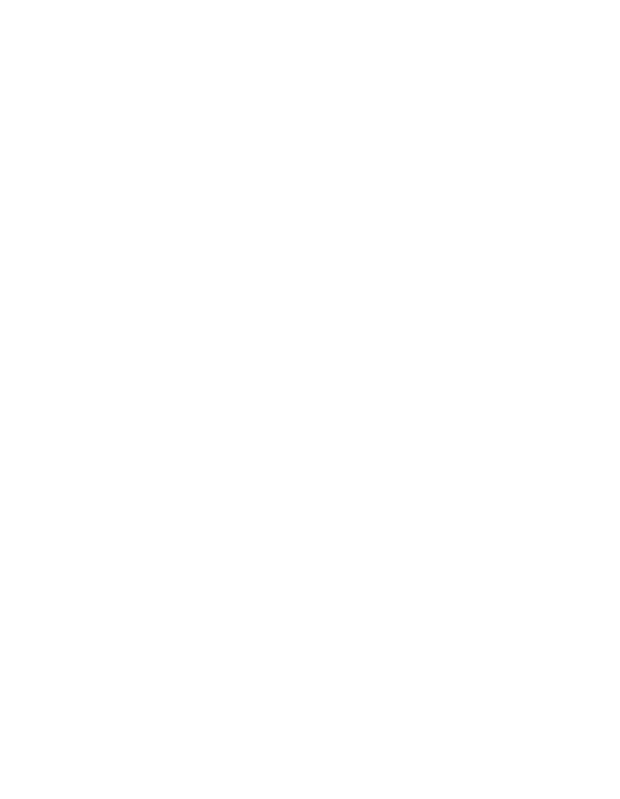eV, which correlates to wavelengths in the range of about 1100 nanometers (nm) to about 730 nm. The correspondence of electrical band gap and band gap wavelength is defined by the relation  $E_g$ =hc/ $\lambda_{bg}$ , where  $E_g$  is the energy band gap, h is Planck's constant, c is the speed of light in vacuum, and  $\lambda_{bg}$  is the bandgap wavelength. As one skilled in the art will recognize, a solar cell having a bandgap wavelength of 710 nm, for example, will have good absorptivity for light having wavelengths less than approximately 700 nm. Absorptivity for light having wavelengths longer than 700 nm falls off rapidly, so that much of the sunlight's energy spectrum is "wasted."

[0043] The thickness of the optically active region varies as a function of its composition and type, but is typically in the range of about 1 micron to about 500 microns.

[0044] Up-converting electrode 204 comprises a hybrid "film" of (a) an up-converting material and (b) an electrically conductive material. In the illustrative embodiment, the upconverting material and the electrically conductive material have nanoscale dimensions. More particularly, the up-converting material is in the form of a "nanoparticle" and the electrically conductive material is in the form of a "nanorod" or "nanowire" or "nanotube". As used herein, the term "nanoparticle" refers to particles, which typically but not necessarily have a polygonal shape, and a largest dimension of less than about 500 nm. As used herein, the terms "nanowire" or "nanorod" or "nanotube" refer to structures that have a diameter that is less than about 500 nm and a length up to about 50 microns. In presently preferred embodiments of the present invention, the nanowire will have diameter in the range of about 50 to 100 nm and a length in the range of about 10 to 20 microns.

[0045] In some embodiments, the up-converting material comprises a lanthanide. In the illustrative embodiment, the up-converting material is NaYF<sub>4</sub>:Yb<sup>3+</sup>, Er<sup>3+</sup> nanoparticles. In some other embodiments, other host lattices for the lanthanide (e.g.,  $Er^{3+}$ , etc.) are used, such as oxides or other fluorides. In yet some additional embodiments, the up-converting materials includes metallated macrocyles in polymer hosts or encapsulated in polymer beads.

[0046] In some embodiments, the electrically conductive material comprises a metal, such as, without limitation, copper, silver, or gold. In the illustrative embodiment, the electrically conductive material comprises silver (Ag) nanowires or nanorods. In some further embodiments, the electrically conductive material is a carbon nanotube.

[0047] The thickness of the hybrid film is typically in the range of about 500 nm to 1 micron. In some embodiments, the up-converting material and the electrically conductive material are supported on a substrate, such as glass, plastic, etc.

[0048] Up-converting electrode 204 is (at least) bi-functional in the sense that it is capable of providing an optical (up-converting) function and an electrical (conductivity) function. Regarding the optical function, up-converting electrode 204 absorbs photons that have passed through optically active region 202 as a consequence of those photons having an energy that is less than the band gap of the semiconductor material in the active region. The up-converting material emits photons having higher energy than those it absorbed. The emitted photons are directed to optically active region 202 where they will be absorbed to the extent that they have an energy that is above the band gap. Only those photons absorbed in optically active region 202 participate in the generation of electricity from a solar cell.

[0049] In the illustrative embodiment, the electrical function is provided by silver (Ag) nanowires, which enable the up-converting electrode 204 to serve as one of the electrical contacts of the solar cell. Ag nanowires are known in the art for forming transparent electrodes. See, Hu, et al., "Scalable Coating and Properties of Transparent, Flexible, Siver Nanowire Electrodes," ACS Nano vol. 4, no. 5, p2955-63,  $(2010).$ 

[0050] Those skilled in the art will recognize that a solar cell, such as solar cell 200, includes other layers/features, such as a front-side or top electrical contact/electrode and, usually, an anti-reflection layer, and other packaging related layers/features. Layers/features that are situated "above" active region 202 are collectively referenced "anti-reflection/ front contact 206". The front electrical contact provides one of the two electrical contacts required for solar cell 200 (upconverting electrode 204 is the other contact in the illustrative embodiment). That is, the front electrical contact and upconverting electrode 204 create electrical connectivity to optically active region 202 and provide the contact points for withdrawing charge from the solar cell 200.

[0051] The ability to couple light into or out of a device often depends upon the characteristics of an anti-reflection layer (a.k.a., AR coating) that is disposed on the surface of the device. In solar cell 200, the anti-reflection layer ameliorates the effect of a relatively large mismatch that normally exists between the refractive indices of the semiconductor (optically active layer 202) and air, which otherwise results in highreflectivity at the interface of the two materials.

[0052] Back reflector 208 is disposed "behind" or "beneath" up-converting electrode 204 to prevent light from escaping from the bottom of cell 200. In some embodiments, back reflector 208 is a layer of silver having a thickness of approximately 100 nm. Silver provides high reflectivity for light having a wavelength within the range of interest for most solar cells. But in some alternative embodiments, back-reflector 208 comprises a reflective layer other than silver. Back-reflector 208 is formed using conventional metal deposition techniques.

[0053] As will be appreciated by those skilled in the art, still additional features/layers may be present in a solar cell such as solar cell 200. Neither such additional features/layers, nor anti-reflection layer/front contact 206, nor back-reflector 208 are described further because they are not germane to an understanding of the present invention. It will be clear to one skilled in the art how to specify, make, and use these features.

[0054] FIG. 3 depicts a micrograph of hexagonal phase  $\text{NaYF}_{4}: \text{Yb}^{3+}, \text{Er}^{3+}$  nanoparticles, such as form a portion of up-converting electrode 204. FIG. 4 depicts a micrograph of silver nanowires, which also form a portion of up-converting electrode 204.

[0055] FIGS. 5A through 5C depict micrographs, at various magnifications, of an up-converting electrode in accordance with the illustrative embodiment of the present invention. The micrographs show the presence of Ag nanowires, which appear as slender sticks/rods/wires and NaYF<sub>4</sub>:Yb<sup>3+</sup>, Er<sup>3+</sup> nanoparticles. In FIG. 5A, which is at the lowest magnification, individual nanoparticles are barely discernable and can be seen to "clump" together to form irregular shapes. At double the magnification of FIG. 5A, discrete nanoparticles are more readily visible in FIG. 5B. And in FIG. 5C, which is at double the magnification of FIG. 5B, the polygonal shape of the nanoparticles is discernable.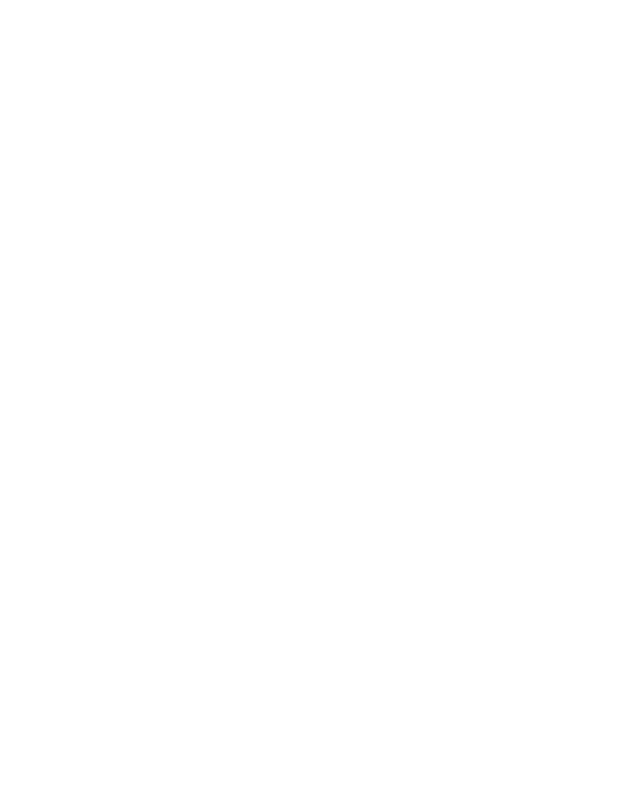[0056] FIG. 6A depicts apparatus 600A for forming an up-converting electrode and FIG. 6B depicts method 600B for forming the up-converting electrode using apparatus 600A

[0057] Referring to FIGS. 6A and 6B, apparatus 600A is a spray deposition apparatus that, in the illustrative embodiment, is used to form up-converting electrode 204. The spray deposition process and apparatuses for spray deposition are well known to those skilled in the art. The salient features of spray deposition apparatus 600A include spray chamber 602, temperature-controlled movable stage 604, and spray nozzle 606.

[0058] Spray deposition takes place in chamber 602 under air, nitrogen, or other inert gas. Substrate 608 is placed in chamber 602 on movable stage 604. The substrate can be, for example and without limitation, glass, such as 0.15 mm thick×25 mm square glass commercially available from Warner Instrument Corporation of Hamden, Conn. or others. The substrate temperature can be in a range from about room temperature to about  $200^{\circ}$  C.

[0059] In accordance with operation 601 of method 600B, the electrically conductive material, which in the illustrative embodiment is Ag nanowire, is sprayed onto substrate 608. For the spraying process, the nanowires are dispersed in a carrier fluid, such as isopropyl alcohol. To create a uniform, flat film on the substrate, substrate 608 is moved past spray nozzle 606 by movable stage 604 as the conductive material is being sprayed. Ag nanowires are commercially available from Seashell Technologies of La Jolla, Calif. and others.

[0060] After spray depositing the electrically-conductive material in operation 601, the resulting film of conductive material is (optionally) annealed (e.g., such as via laser annealing, etc.) to increase electrical conductivity in optional operation 603.

[0061] After annealing (if performed), the up-converting material is sprayed onto the the film of electrically-conductive material that has been formed on substrate 608, as per operation 605. In the illustrative embodiment, the up-converting material is NaYF<sub>4</sub>: Yb<sup>3+</sup>, Er<sup>3+</sup> nanoparticles, which can be synthesized via known techniques. See, e.g., Li et al., Adv. Mater., v20, 4765-4769 (2008). For spraying, the up-converting nanoparticles are dispersed in a carrier fluid, such as cyclohexane. During the spraying operation, substrate 608 is moved past spray nozzle 604.

[0062] Control parameters for obtaining a uniform, flat film of up-converting material and electrically conductive material on the substrate (i.e., the up-converting electrode) include: rastering velocity and patterns (of the substrate), substrate temperature, nanoparticle/nanowire injection rate, nozzle-to-substrate distance, and spray pressure. And these same parameters can be adjusted to obtain a desired film thickness and particle distribution on the substrate, as determined by simple experimentation.

[0063] In some alternative spray-deposition systems, spray nozzle 604 is movable while substrate 608 remains immobile. Furthermore, although the presently preferred technique is to deposit the electrically conductive material first and then the upconverting material, in some other embodiments, the upconverting material is deposited before the electrically conductive material. And in some further embodiments, the upconverting material and the electrically conductive material are deposited at the same time (through different nozzles or the same nozzle).

[0064] In some other embodiments, different apparatuses and methods are used to form the up-converting electrode. For example, doctor-blading and inkjet printing techniques and apparatuses can be used to deposit the electrically conductive material (e.g., Ag nanowires, etc.) and the up-converting nanoparticles on to a substrate to form an up-converting electrode. Any technique used for depositing colloidal nanostructures, as known to those skilled in the art, can suitably be used.

#### **EXAMPLE**

[0065] Ag nanowires (from Seashell Technologies) having an average length of about 10 microns and an average diameter of about 50 nanometers were spray deposited onto 25 mm square, 0.15 mm thick glass substrates. The deposited nanowires were then laser annealed. Hexagonal-phase  $\text{NaYF}_4$ : 18%  $Yb^{3+}$ , 2% Er<sup>3+</sup> nanoparticles were synthesized via techniques discussed in Li et al., Adv. Mater., v20, 4765-4769 (2008). The particles were dispersed in cyclohexane, as a carrier fluid, at a concentration of about 5 mg of nanoparticles per milliliter of carrier fluid. The nanoparticles were then spray deposited on the Ag nanowires that had been deposited on the substrate, forming a film (i.e., the upconverting electrode) containing both up-converting particles and electrically conductive material. For comparison with the up-converting electrode, hexagonal-phase  $\text{NaYF}_4$ :18% Yb<sup>3+</sup>, 2% Er<sup>3+</sup> nanoparticles were sprayed deposited on substrates that did not include any Ag nanowires. Also, for electrical measurements, substrates were prepared with only Ag nanowires (no up-converting nanoparticles).

[0066] The up-converting electrode and the Ag nanowires sans up-converting material were characterized electrically using a four-point probe. The up-converting electrode and the up-converting material sans Ag nanowire were characterized optically using a 980 nm laser diode for excitation (300 mW). The up-converted light was characterized using a spectrograph (150 blaze grating) and CCD.

[0067] The emission spectra for up-converted light generated from the up-converting material alone ("dashed" line) and for the up-converted light generated from the up-converting electrode ("solid" line) are depicted in FIG. 7. The upconverting material used (whether alone or combined with the electrically conductive material) up-converts 980 nm photons to red and green light (i.e., about 700 to about 500 nm).

[0068] As depicted in FIG. 7, the up-converting electrode (i.e., the combination of up-converting material and the electrically conductive material) increases the amount of up-converted photons, relative to using the upconverting material alone, by a factor of 4 to 5.

[0069] Furthermore, it has been observed that the presence of the electrically conductive material enables up-conversion to occur at lower power densities. It was determined experimentally that up-conversion emission occurs at about 2.5x lower density for the up-converting electrode as compared to upconverting material alone.

[0070] The sheet resistance of the Ag nanowire film (without up-converting material) was 6.0 +/-1.7 ohms/square. The sheet resistance of a film that included both the Ag nanowires and the up-converting material was  $6.5 +/-1.1$  ohm/square. Electrical conductivity can be further increased (i.e., resistance decreased) by increasing the density of the electrically conductive material in the film; that is, for example, having more Ag nanowires present in the film.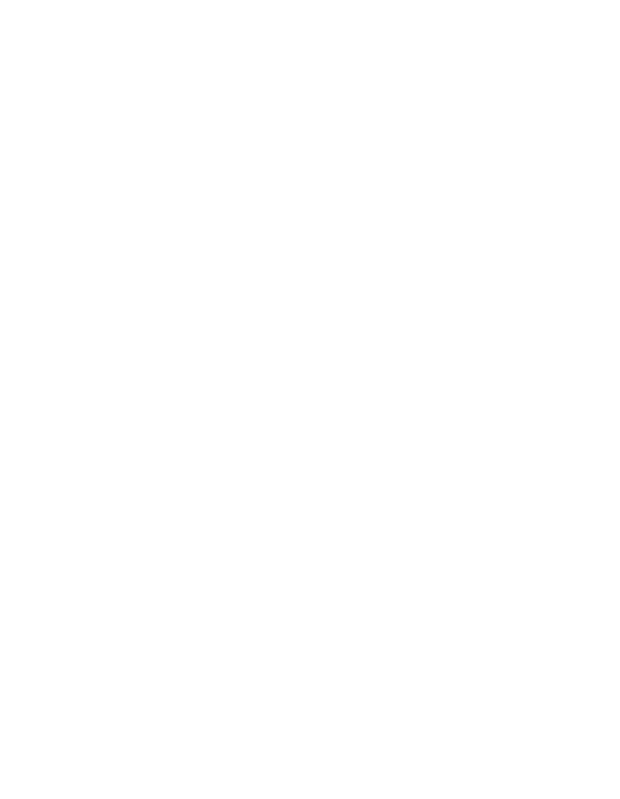[0071] Without being bound to any particular theory, it is believed that one of the following two mechanisms, and possibly both, contribute to the ability of the electrically conductive material to enhance up-conversion efficiency.

[0072] One mechanism that is believed to enhance up-conversion is increased light scattering. In particular, it is theorized that the nanowires increase light scattering, which leads to a longer path length for the incident infrared (sub band gap) light. This increases the likelihood that such sub band gap light will interact with the up-converting material and be up-converted.

[0073] To evaluate this theory, measurements of the "haze" of the up-converting electrode versus up-converting material alone were obtained. The parameter "percent haze" was determined, which is the fraction of diffuse transmission over total transmission; it indicates how well a film scatters light. The measurement was performed using a spectrometer with an integrating sphere attachment (Cary 6000i with DRA).

[0074] The percent haze for the up-converting electrode varied from a maximum of about 17% (400 nm light) to a minimum of about 10.5% (700 nm light). The percent haze increased approximately linearly above 700 nm to about 11.5% at 1200 nm. The percent haze for the up-converting material alone  $(NaYF_4:Yb^{3+}, Er^{3+})$  was fairly constant at about 2.5% from 400 to 1200 nm. This result (greater haze for the up-converting electrode versus the up-converting material alone) is consistent with the proposed theory.

[0075] Furthermore, the observed enhancement in up-converting performance might be plasmonic in nature. Plasmons are oscillations of electrons in a metal. These oscillations can be due to the interaction of the electrons with light. The nano-structures (e.g., Ag nanowires) can act as "antennas" to concentrate the intensity of light in the near field. In the up-converting electrode, the plasmon resonance of individual Ag nanowires might overlap with either the absorption or emission bands, or both, of the up-converting nanoparticles. More particularly, the absorption of lower energy photons would be improved by concentration of the excitation field and emission of up-converted photons would be improved by coupling to radiative transitions.

[0076] The frequency of plasmon resonance is highly dependent on the geometry (e.g., diameter, length, shape) of the metal nanostructure (e.g., the Ag nanowires, etc.). As such, small changes in nanowire geometry can be used to "tune" the plasmon resonance; that is, to increase the overlap with  $Yb^{3+}$  absorption and  $Er^{3+}$  emission, thereby enhancing up-conversion. As such, theoretical predictions (e.g., scattering cross section of the nanowires; extinction cross section as function of nanowire length and the wavelength of the incident light, etc.) can form the starting point for experimentation to optimize nanowire geometry for a specific up-conversion material, such as  $NaYF_4:Yb^{3+}$ ,  $Er^{3+}$ .

[0077] FIG. 8 depicts method 800 for forming a photovoltaic cell, such as cell 200 depicted in FIG. 2.

[0078] In accordance with operation  $801$  of method  $800$ , an up-converting electrode is formed. This is accomplished, for example, using method 600B and apparatus 600A.

[0079] In operation 803, the active region of the solar cell is formed on the up-converting electrode. The details of this operation (which will include several sub-operations) is a function of the semiconductor materials used for the active region and the type of solar cell being fabricated. It is within the capabilities of those skilled in the art to form the active region of the solar cell.

[0080] At operation 805, a top electrode is formed on the active region in known fashion.

[0081] Those skilled in the art will recognize that additional features (e.g., one or more anti-reflection layers, a back reflector, etc.) as previously mentioned is normally part of a solar cell, such as solar cell 200. These features would, of course, be formed at the appropriate time during fabrication of solar cell 200. Those skilled in the art will know how and when to form such features in conjunction with the fabrication of solar cell 200. Such operations are not depicted in the drawings or recited in the claims because they are not germane to the present invention.

[0082] After reading the present disclosure, those skilled in the art will be able to form a photoelectrochemical cell that includes an up-converting electrode.

[0083] Although an up-converting electrode in accordance with the present teachings possesses an electrical conductivity that enables it to serve as an electrode in a solar cell (or other applications), it need not function as such. That is, as previously discussed, the presence of the up-converting electrode in a solar cell can be justified solely based on its ability to enhance the up-conversion process. Its use as an electrode/ electrical contact is an ancillary benefit. As such, it is contemplated that in some embodiments, solar cells that include the up-converting electrode will also include a separate electrical contact feature/layer. In such cells, the up-converting electrode will only serve an optical (up-converting) function. As such, the word "electrode" in the moniker "up-converting electrode" is not intended to be limiting or otherwise require the up-converting electrode to function as an electrode/electrical contact, whether it is used in a solar cell or for any other application.

[0084] It is to be understood that the disclosure teaches just one example of the illustrative embodiment and that many variations of the invention can easily be devised by those skilled in the art after reading this disclosure and that the scope of the present invention is to be determined by the following claims.

What is claimed is:

1. An article comprising an up-converting electrode, wherein the up-converting electrode comprises:

- a first material that is electrically conductive; and
- a second material that is capable of up-converting light having a wavelength greater than about 730 nanometers to light having a wavelength that is less than 730 nanometers, wherein the first material and the second material are in contact with one another forming a hybrid film.

2. The article of claim 1 wherein the first material is in a form of a nanowire.

3. The article of claim 1 wherein the first material comprises silver.

4. The article of claim 1 wherein the second material comprises a lanthanide.

5. The article of claim 1 wherein the second material comprises a lanthanide nanoparticle.

6. The article of claim 1 wherein the second material is  $NaYF<sub>4</sub>:Yb<sup>3+</sup>, Er<sup>3+</sup> nanoparticles.$ 

7. The article of claim 1 wherein the first material comprises silver nanowire and the second material comprises  $NaYF_4:Yb^{3+}$ ,  $Er^{3+}$  nanoparticles.

8. The article of claim 1 wherein the up-converting electrode further comprises a substrate, wherein the hybrid film is disposed on the substrate.